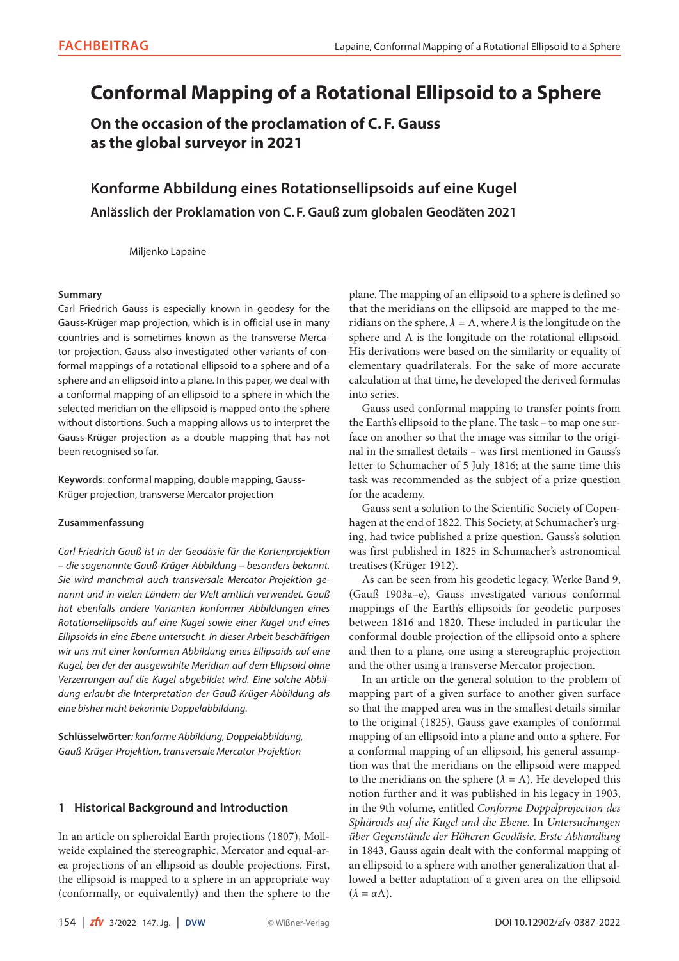# **Conformal Mapping of a Rotational Ellipsoid to a Sphere**

**On the occasion of the proclamation of C.F. Gauss as the global surveyor in 2021**

**Konforme Abbildung eines Rotationsellipsoids auf eine Kugel Anlässlich der Proklamation von C.F. Gauß zum globalen Geodäten 2021**

Miljenko Lapaine

## **Summary**

Carl Friedrich Gauss is especially known in geodesy for the Gauss-Krüger map projection, which is in official use in many countries and is sometimes known as the transverse Mercator projection. Gauss also investigated other variants of conformal mappings of a rotational ellipsoid to a sphere and of a sphere and an ellipsoid into a plane. In this paper, we deal with a conformal mapping of an ellipsoid to a sphere in which the selected meridian on the ellipsoid is mapped onto the sphere without distortions. Such a mapping allows us to interpret the Gauss-Krüger projection as a double mapping that has not been recognised so far.

**Keywords**: conformal mapping, double mapping, Gauss-Krüger projection, transverse Mercator projection

## **Zusammenfassung**

*Carl Friedrich Gauß ist in der Geodäsie für die Kartenprojektion – die sogenannte Gauß-Krüger-Abbildung – besonders bekannt. Sie wird manchmal auch transversale Mercator-Projektion genannt und in vielen Ländern der Welt amtlich verwendet. Gauß hat ebenfalls andere Varianten konformer Abbildungen eines Rotationsellipsoids auf eine Kugel sowie einer Kugel und eines Ellipsoids in eine Ebene untersucht. In dieser Arbeit beschäftigen wir uns mit einer konformen Abbildung eines Ellipsoids auf eine Kugel, bei der der ausgewählte Meridian auf dem Ellipsoid ohne Verzerrungen auf die Kugel abgebildet wird. Eine solche Abbildung erlaubt die Interpretation der Gauß-Krüger-Abbildung als eine bisher nicht bekannte Doppelabbildung.*

**Schlüsselwörter***: konforme Abbildung, Doppelabbildung, Gauß-Krüger-Projektion, transversale Mercator-Projektion*

# **1 Historical Background and Introduction**

In an article on spheroidal Earth projections (1807), Mollweide explained the stereographic, Mercator and equal-area projections of an ellipsoid as double projections. First, the ellipsoid is mapped to a sphere in an appropriate way (conformally, or equivalently) and then the sphere to the plane. The mapping of an ellipsoid to a sphere is defined so that the meridians on the ellipsoid are mapped to the meridians on the sphere,  $\lambda = \Lambda$ , where  $\lambda$  is the longitude on the sphere and Λ is the longitude on the rotational ellipsoid. His derivations were based on the similarity or equality of elementary quadrilaterals. For the sake of more accurate calculation at that time, he developed the derived formulas into series.

Gauss used conformal mapping to transfer points from the Earth's ellipsoid to the plane. The task – to map one surface on another so that the image was similar to the original in the smallest details – was first mentioned in Gauss's letter to Schumacher of 5 July 1816; at the same time this task was recommended as the subject of a prize question for the academy.

Gauss sent a solution to the Scientific Society of Copenhagen at the end of 1822. This Society, at Schumacher's urging, had twice published a prize question. Gauss's solution was first published in 1825 in Schumacher's astronomical treatises (Krüger 1912).

As can be seen from his geodetic legacy, Werke Band 9, (Gauß 1903a–e), Gauss investigated various conformal mappings of the Earth's ellipsoids for geodetic purposes between 1816 and 1820. These included in particular the conformal double projection of the ellipsoid onto a sphere and then to a plane, one using a stereographic projection and the other using a transverse Mercator projection.

In an article on the general solution to the problem of mapping part of a given surface to another given surface so that the mapped area was in the smallest details similar to the original (1825), Gauss gave examples of conformal mapping of an ellipsoid into a plane and onto a sphere. For a conformal mapping of an ellipsoid, his general assumption was that the meridians on the ellipsoid were mapped to the meridians on the sphere ( $\lambda = \Lambda$ ). He developed this notion further and it was published in his legacy in 1903, in the 9th volume, entitled *Conforme Doppelprojection des Sphäroids auf die Kugel und die Ebene*. In *Untersuchungen über Gegenstände der Höheren Geodäsie. Erste Abhandlung* in 1843, Gauss again dealt with the conformal mapping of an ellipsoid to a sphere with another generalization that allowed a better adaptation of a given area on the ellipsoid  $(\lambda = \alpha \Lambda)$ .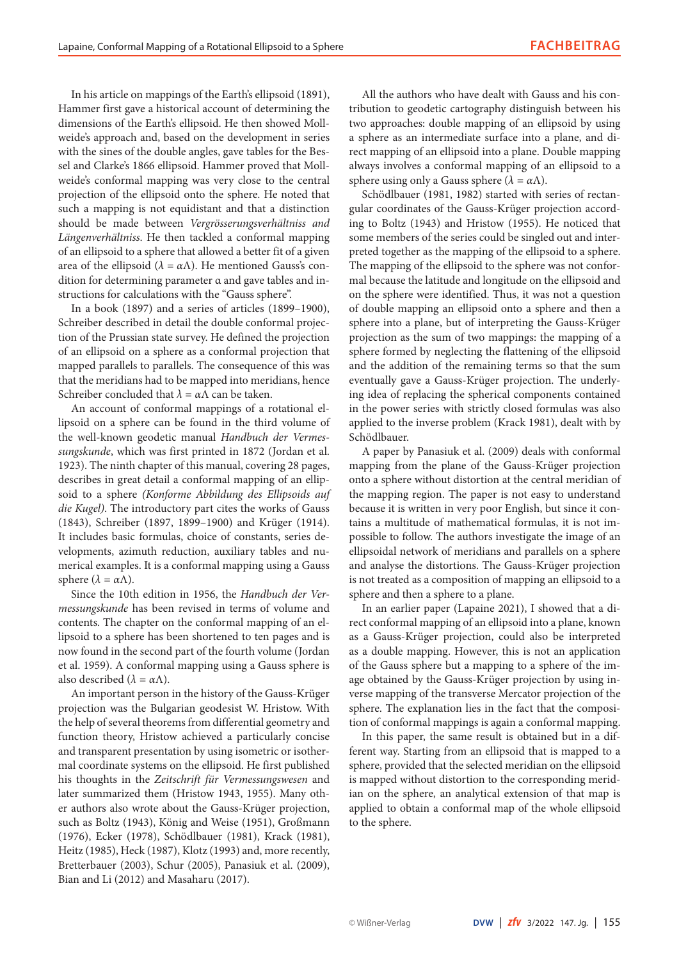In his article on mappings of the Earth's ellipsoid (1891), Hammer first gave a historical account of determining the dimensions of the Earth's ellipsoid. He then showed Mollweide's approach and, based on the development in series with the sines of the double angles, gave tables for the Bessel and Clarke's 1866 ellipsoid. Hammer proved that Mollweide's conformal mapping was very close to the central projection of the ellipsoid onto the sphere. He noted that such a mapping is not equidistant and that a distinction should be made between *Vergrösserungsverhältniss and Längenverhältniss*. He then tackled a conformal mapping of an ellipsoid to a sphere that allowed a better fit of a given area of the ellipsoid ( $\lambda = \alpha \Lambda$ ). He mentioned Gauss's condition for determining parameter α and gave tables and instructions for calculations with the "Gauss sphere".

In a book (1897) and a series of articles (1899–1900), Schreiber described in detail the double conformal projection of the Prussian state survey. He defined the projection of an ellipsoid on a sphere as a conformal projection that mapped parallels to parallels. The consequence of this was that the meridians had to be mapped into meridians, hence Schreiber concluded that  $\lambda = \alpha \Lambda$  can be taken.

An account of conformal mappings of a rotational ellipsoid on a sphere can be found in the third volume of the well-known geodetic manual *Handbuch der Vermessungskunde*, which was first printed in 1872 (Jordan et al. 1923). The ninth chapter of this manual, covering 28 pages, describes in great detail a conformal mapping of an ellipsoid to a sphere *(Konforme Abbildung des Ellipsoids auf die Kugel)*. The introductory part cites the works of Gauss (1843), Schreiber (1897, 1899–1900) and Krüger (1914). It includes basic formulas, choice of constants, series developments, azimuth reduction, auxiliary tables and numerical examples. It is a conformal mapping using a Gauss sphere  $(\lambda = \alpha \Lambda)$ .

Since the 10th edition in 1956, the *Handbuch der Vermessungskunde* has been revised in terms of volume and contents. The chapter on the conformal mapping of an ellipsoid to a sphere has been shortened to ten pages and is now found in the second part of the fourth volume (Jordan et al. 1959). A conformal mapping using a Gauss sphere is also described ( $\lambda = \alpha \Lambda$ ).

An important person in the history of the Gauss-Krüger projection was the Bulgarian geodesist W. Hristow. With the help of several theorems from differential geometry and function theory, Hristow achieved a particularly concise and transparent presentation by using isometric or isothermal coordinate systems on the ellipsoid. He first published his thoughts in the *Zeitschrift für Vermessungswesen* and later summarized them (Hristow 1943, 1955). Many other authors also wrote about the Gauss-Krüger projection, such as Boltz (1943), König and Weise (1951), Großmann (1976), Ecker (1978), Schödlbauer (1981), Krack (1981), Heitz (1985), Heck (1987), Klotz (1993) and, more recently, Bretterbauer (2003), Schur (2005), Panasiuk et al. (2009), Bian and Li (2012) and Masaharu (2017).

All the authors who have dealt with Gauss and his contribution to geodetic cartography distinguish between his two approaches: double mapping of an ellipsoid by using a sphere as an intermediate surface into a plane, and direct mapping of an ellipsoid into a plane. Double mapping always involves a conformal mapping of an ellipsoid to a sphere using only a Gauss sphere ( $\lambda = \alpha \Lambda$ ).

Schödlbauer (1981, 1982) started with series of rectangular coordinates of the Gauss-Krüger projection according to Boltz (1943) and Hristow (1955). He noticed that some members of the series could be singled out and interpreted together as the mapping of the ellipsoid to a sphere. The mapping of the ellipsoid to the sphere was not conformal because the latitude and longitude on the ellipsoid and on the sphere were identified. Thus, it was not a question of double mapping an ellipsoid onto a sphere and then a sphere into a plane, but of interpreting the Gauss-Krüger projection as the sum of two mappings: the mapping of a sphere formed by neglecting the flattening of the ellipsoid and the addition of the remaining terms so that the sum eventually gave a Gauss-Krüger projection. The underlying idea of replacing the spherical components contained in the power series with strictly closed formulas was also applied to the inverse problem (Krack 1981), dealt with by Schödlbauer.

A paper by Panasiuk et al. (2009) deals with conformal mapping from the plane of the Gauss-Krüger projection onto a sphere without distortion at the central meridian of the mapping region. The paper is not easy to understand because it is written in very poor English, but since it contains a multitude of mathematical formulas, it is not impossible to follow. The authors investigate the image of an ellipsoidal network of meridians and parallels on a sphere and analyse the distortions. The Gauss-Krüger projection is not treated as a composition of mapping an ellipsoid to a sphere and then a sphere to a plane.

In an earlier paper (Lapaine 2021), I showed that a direct conformal mapping of an ellipsoid into a plane, known as a Gauss-Krüger projection, could also be interpreted as a double mapping. However, this is not an application of the Gauss sphere but a mapping to a sphere of the image obtained by the Gauss-Krüger projection by using inverse mapping of the transverse Mercator projection of the sphere. The explanation lies in the fact that the composition of conformal mappings is again a conformal mapping.

In this paper, the same result is obtained but in a different way. Starting from an ellipsoid that is mapped to a sphere, provided that the selected meridian on the ellipsoid is mapped without distortion to the corresponding meridian on the sphere, an analytical extension of that map is applied to obtain a conformal map of the whole ellipsoid to the sphere.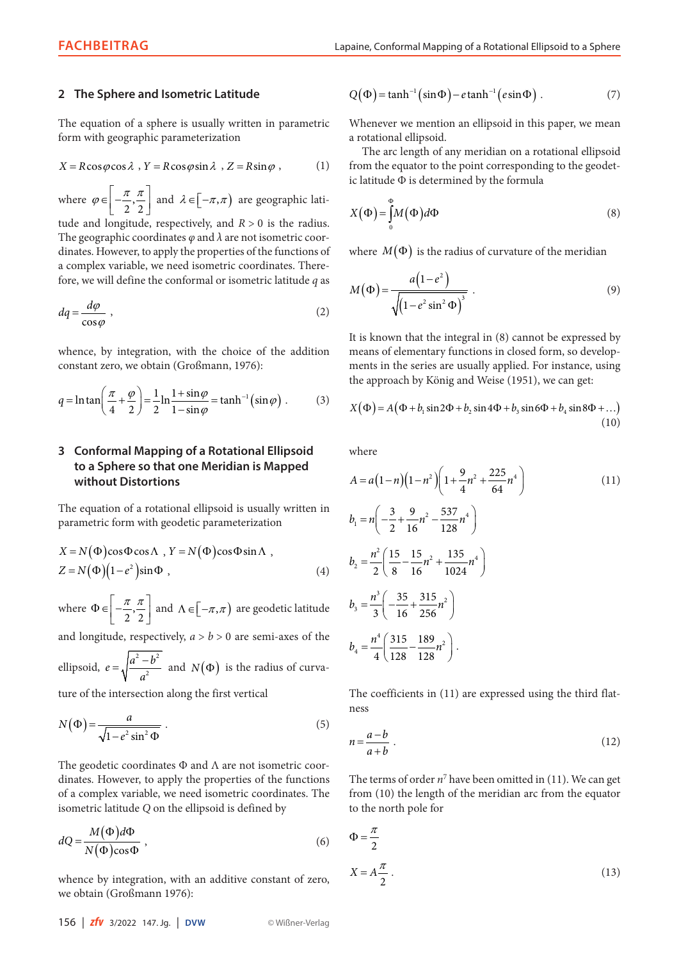## **2 The Sphere and Isometric Latitude**

The equation of a sphere is usually written in parametric form with geographic parameterization

$$
X = R\cos\varphi\cos\lambda, Y = R\cos\varphi\sin\lambda, Z = R\sin\varphi,
$$
 (1)

where  $\varphi \in \left[-\frac{\pi}{2},\right]$  $2^{\degree}2$  $\varphi \in \left[-\frac{\pi}{2}, \frac{\pi}{2}\right]$  and  $\lambda \in \left[-\pi, \pi\right)$  are geographic lati-

tude and longitude, respectively, and  $R > 0$  is the radius. The geographic coordinates *φ* and *λ* are not isometric coordinates. However, to apply the properties of the functions of a complex variable, we need isometric coordinates. Therefore, we will define the conformal or isometric latitude *q* as

$$
dq = \frac{d\varphi}{\cos\varphi} \,,\tag{2}
$$

whence, by integration, with the choice of the addition constant zero, we obtain (Großmann, 1976):

$$
q = \ln \tan \left( \frac{\pi}{4} + \frac{\varphi}{2} \right) = \frac{1}{2} \ln \frac{1 + \sin \varphi}{1 - \sin \varphi} = \tanh^{-1} \left( \sin \varphi \right) . \tag{3}
$$

# **3 Conformal Mapping of a Rotational Ellipsoid to a Sphere so that one Meridian is Mapped without Distortions**

The equation of a rotational ellipsoid is usually written in parametric form with geodetic parameterization

$$
X = N(\Phi)\cos\Phi\cos\Lambda, Y = N(\Phi)\cos\Phi\sin\Lambda,
$$
  
\n
$$
Z = N(\Phi)(1 - e^2)\sin\Phi,
$$
 (4)

where  $\Phi \in \left[-\frac{\pi}{2},\right]$  $\Phi \in \left[-\frac{\pi}{2}, \frac{\pi}{2}\right]$  and  $\Lambda \in \left[-\pi, \pi\right)$  are geodetic latitude

and longitude, respectively,  $a > b > 0$  are semi-axes of the

ellipsoid,  $e = \sqrt{\frac{a^2 - b^2}{a^2}}$ 2  $e = \sqrt{\frac{a^2 - b^2}{a^2}}$  $=\sqrt{\frac{a^2-b^2}{a^2}}$  and *N*( $\Phi$ ) is the radius of curva-

ture of the intersection along the first vertical

$$
N(\Phi) = \frac{a}{\sqrt{1 - e^2 \sin^2 \Phi}} \ . \tag{5}
$$

The geodetic coordinates  $\Phi$  and  $\Lambda$  are not isometric coordinates. However, to apply the properties of the functions of a complex variable, we need isometric coordinates. The isometric latitude *Q* on the ellipsoid is defined by

$$
dQ = \frac{M(\Phi)d\Phi}{N(\Phi)\cos\Phi},
$$
\n(6)

whence by integration, with an additive constant of zero, we obtain (Großmann 1976):

$$
Q(\Phi) = \tanh^{-1}(\sin \Phi) - e \tanh^{-1}(e \sin \Phi) . \tag{7}
$$

Whenever we mention an ellipsoid in this paper, we mean a rotational ellipsoid.

The arc length of any meridian on a rotational ellipsoid from the equator to the point corresponding to the geodetic latitude Φ is determined by the formula

$$
X(\Phi) = \int_{0}^{\Phi} M(\Phi) d\Phi
$$
 (8)

where  $M(\Phi)$  is the radius of curvature of the meridian

$$
M(\Phi) = \frac{a(1 - e^2)}{\sqrt{\left(1 - e^2 \sin^2 \Phi\right)^3}} \tag{9}
$$

It is known that the integral in (8) cannot be expressed by means of elementary functions in closed form, so developments in the series are usually applied. For instance, using the approach by König and Weise (1951), we can get:

$$
X(\Phi) = A(\Phi + b_1 \sin 2\Phi + b_2 \sin 4\Phi + b_3 \sin 6\Phi + b_4 \sin 8\Phi + ...) \tag{10}
$$

where

$$
A = a(1-n)(1-n^2)\left(1+\frac{9}{4}n^2+\frac{225}{64}n^4\right)
$$
\n
$$
b_1 = n\left(-\frac{3}{2}+\frac{9}{16}n^2-\frac{537}{128}n^4\right)
$$
\n
$$
b_2 = \frac{n^2}{2}\left(\frac{15}{8}-\frac{15}{16}n^2+\frac{135}{1024}n^4\right)
$$
\n
$$
b_3 = \frac{n^3}{3}\left(-\frac{35}{16}+\frac{315}{256}n^2\right)
$$
\n
$$
b_4 = \frac{n^4}{4}\left(\frac{315}{128}-\frac{189}{128}n^2\right).
$$
\n(11)

The coefficients in (11) are expressed using the third flatness

$$
n = \frac{a - b}{a + b} \tag{12}
$$

The terms of order  $n^7$  have been omitted in (11). We can get from (10) the length of the meridian arc from the equator to the north pole for

$$
\Phi = \frac{\pi}{2}
$$
  

$$
X = A\frac{\pi}{2}.
$$
 (13)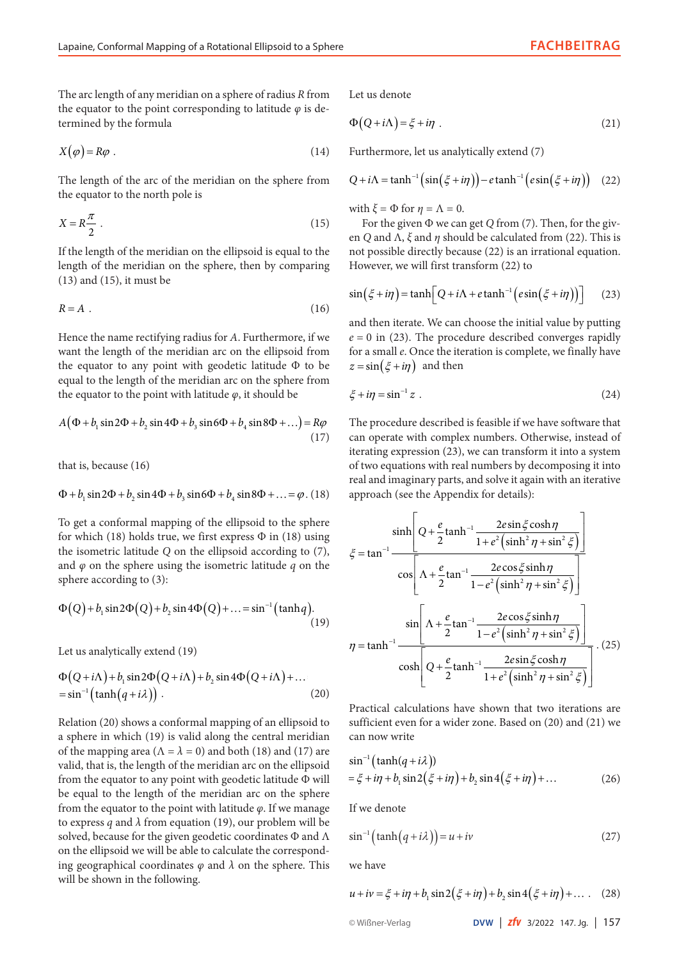The arc length of any meridian on a sphere of radius *R* from the equator to the point corresponding to latitude  $\varphi$  is determined by the formula

$$
X(\varphi) = R\varphi \tag{14}
$$

The length of the arc of the meridian on the sphere from the equator to the north pole is

$$
X = R\frac{\pi}{2} \tag{15}
$$

If the length of the meridian on the ellipsoid is equal to the length of the meridian on the sphere, then by comparing (13) and (15), it must be

$$
R = A \tag{16}
$$

Hence the name rectifying radius for *A*. Furthermore, if we want the length of the meridian arc on the ellipsoid from the equator to any point with geodetic latitude Φ to be equal to the length of the meridian arc on the sphere from the equator to the point with latitude  $\varphi$ , it should be

$$
A(\Phi + b_1 \sin 2\Phi + b_2 \sin 4\Phi + b_3 \sin 6\Phi + b_4 \sin 8\Phi + ...) = R\varphi
$$
\n(17)

that is, because (16)

$$
\Phi + b_1 \sin 2\Phi + b_2 \sin 4\Phi + b_3 \sin 6\Phi + b_4 \sin 8\Phi + \dots = \varphi. (18)
$$

To get a conformal mapping of the ellipsoid to the sphere for which (18) holds true, we first express  $\Phi$  in (18) using the isometric latitude *Q* on the ellipsoid according to (7), and *φ* on the sphere using the isometric latitude *q* on the sphere according to (3):

$$
\Phi(Q) + b_1 \sin 2\Phi(Q) + b_2 \sin 4\Phi(Q) + \dots = \sin^{-1}(\tanh q). \tag{19}
$$

Let us analytically extend (19)

$$
\Phi(Q+i\Lambda) + b_1 \sin 2\Phi(Q+i\Lambda) + b_2 \sin 4\Phi(Q+i\Lambda) + ...
$$
  
= sin<sup>-1</sup> (tanh(q+i\lambda)). (20)

Relation (20) shows a conformal mapping of an ellipsoid to a sphere in which (19) is valid along the central meridian of the mapping area  $(\Lambda = \lambda = 0)$  and both (18) and (17) are valid, that is, the length of the meridian arc on the ellipsoid from the equator to any point with geodetic latitude  $\Phi$  will  $= \xi + i\eta + b_1 \sin 2(\xi + i\eta) + b_2 \sin 4(\xi + i\eta) + ...$  (26) be equal to the length of the meridian arc on the sphere from the equator to the point with latitude *φ*. If we manage to express *q* and  $\lambda$  from equation (19), our problem will be solved, because for the given geodetic coordinates  $\Phi$  and  $\Lambda$ on the ellipsoid we will be able to calculate the corresponding geographical coordinates *φ* and *λ* on the sphere. This will be shown in the following.

Let us denote

$$
\Phi\big(Q+i\Lambda\big)=\xi+i\eta\ .\tag{21}
$$

Furthermore, let us analytically extend (7)

$$
Q + i\Lambda = \tanh^{-1}\left(\sin\left(\xi + i\eta\right)\right) - e\tanh^{-1}\left(e\sin\left(\xi + i\eta\right)\right) \quad (22)
$$

with  $\zeta = \Phi$  for  $n = \Lambda = 0$ .

For the given Φ we can get *Q* from (7). Then, for the given *Q* and Λ, *ξ* and *η* should be calculated from (22). This is not possible directly because (22) is an irrational equation. However, we will first transform (22) to

$$
\sin(\xi + i\eta) = \tanh\left[Q + i\Lambda + e\tanh^{-1}\left(e\sin\left(\xi + i\eta\right)\right)\right] \tag{23}
$$

and then iterate. We can choose the initial value by putting  $e = 0$  in (23). The procedure described converges rapidly for a small *e*. Once the iteration is complete, we finally have  $z = \sin(\xi + i\eta)$  and then

$$
\xi + i\eta = \sin^{-1} z \tag{24}
$$

The procedure described is feasible if we have software that can operate with complex numbers. Otherwise, instead of iterating expression (23), we can transform it into a system of two equations with real numbers by decomposing it into real and imaginary parts, and solve it again with an iterative approach (see the Appendix for details):

$$
\xi = \tan^{-1} \frac{\sinh\left[Q + \frac{e}{2}\tanh^{-1}\frac{2e\sin\xi\cosh\eta}{1 + e^2\left(\sinh^2\eta + \sin^2\xi\right)}\right]}{\cos\left[\Lambda + \frac{e}{2}\tan^{-1}\frac{2e\cos\xi\sinh\eta}{1 - e^2\left(\sinh^2\eta + \sin^2\xi\right)}\right]}
$$

$$
\eta = \tanh^{-1} \frac{\sin\left[\Lambda + \frac{e}{2}\tan^{-1}\frac{2e\cos\xi\sinh\eta}{1 - e^2\left(\sinh^2\eta + \sin^2\xi\right)}\right]}{\cosh\left[Q + \frac{e}{2}\tanh^{-1}\frac{2e\sin\xi\cosh\eta}{1 + e^2\left(\sinh^2\eta + \sin^2\xi\right)}\right]}.\tag{25}
$$

Practical calculations have shown that two iterations are sufficient even for a wider zone. Based on (20) and (21) we can now write

$$
\sin^{-1}(\tanh(q+i\lambda))
$$
  
=  $\xi + i\eta + b_1 \sin 2(\xi + i\eta) + b_2 \sin 4(\xi + i\eta) + ...$  (26)

If we denote

$$
\sin^{-1}\left(\tanh\left(q+i\lambda\right)\right) = u + iv \tag{27}
$$

we have

$$
u + iv = \xi + i\eta + b_1 \sin 2(\xi + i\eta) + b_2 \sin 4(\xi + i\eta) + \dots
$$
 (28)

© Wißner-Verlag **DVW** | *zfv* 3/2022 147. Jg. | 157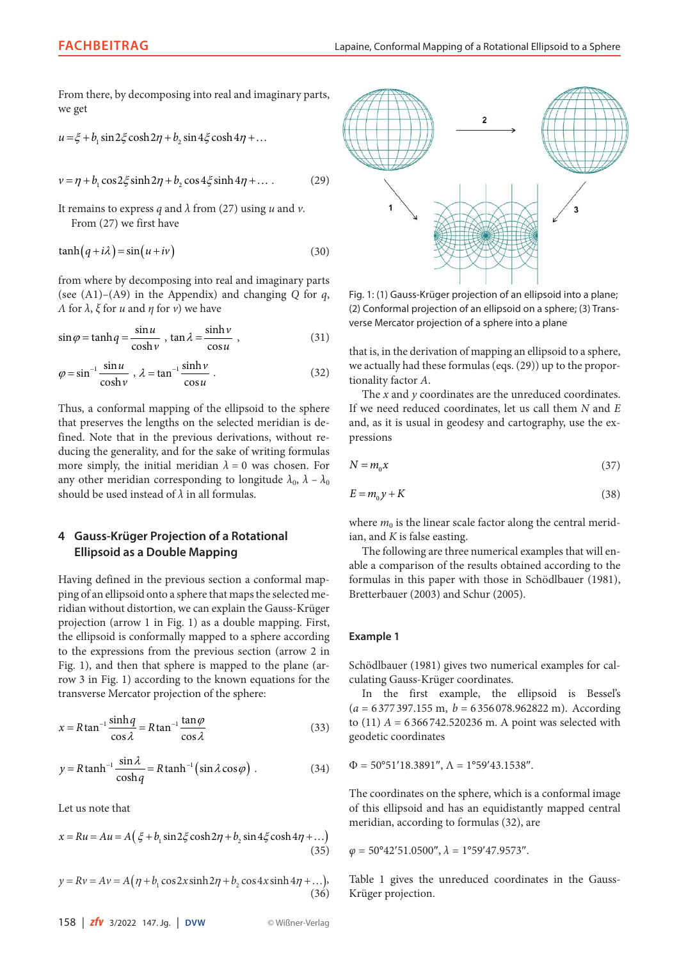From there, by decomposing into real and imaginary parts, we get

$$
u = \xi + b_1 \sin 2\xi \cosh 2\eta + b_2 \sin 4\xi \cosh 4\eta + \dots
$$

$$
v = \eta + b_1 \cos 2\xi \sinh 2\eta + b_2 \cos 4\xi \sinh 4\eta + \dots
$$
 (29)

It remains to express *q* and *λ* from (27) using *u* and *v*. From (27) we first have

$$
\tanh(q + i\lambda) = \sin(u + iv) \tag{30}
$$

from where by decomposing into real and imaginary parts (see  $(A1)$ – $(A9)$  in the Appendix) and changing *Q* for *q*, *Λ* for *λ*, *ξ* for *u* and *η* for *v*) we have

$$
\sin \varphi = \tanh q = \frac{\sin u}{\cosh v}, \tan \lambda = \frac{\sinh v}{\cos u}, \tag{31}
$$

$$
\varphi = \sin^{-1} \frac{\sin u}{\cosh v}, \ \lambda = \tan^{-1} \frac{\sinh v}{\cos u} \ . \tag{32}
$$

Thus, a conformal mapping of the ellipsoid to the sphere that preserves the lengths on the selected meridian is defined. Note that in the previous derivations, without reducing the generality, and for the sake of writing formulas more simply, the initial meridian  $\lambda = 0$  was chosen. For any other meridian corresponding to longitude  $\lambda_0$ ,  $\lambda - \lambda_0$ should be used instead of *λ* in all formulas.

# **4 Gauss-Krüger Projection of a Rotational Ellipsoid as a Double Mapping**

Having defined in the previous section a conformal mapping of an ellipsoid onto a sphere that maps the selected meridian without distortion, we can explain the Gauss-Krüger projection (arrow 1 in Fig. 1) as a double mapping. First, the ellipsoid is conformally mapped to a sphere according to the expressions from the previous section (arrow 2 in Fig. 1), and then that sphere is mapped to the plane (arrow 3 in Fig. 1) according to the known equations for the transverse Mercator projection of the sphere:

$$
x = R \tan^{-1} \frac{\sinh q}{\cos \lambda} = R \tan^{-1} \frac{\tan \varphi}{\cos \lambda}
$$
 (33)

$$
y = R \tanh^{-1} \frac{\sin \lambda}{\cosh q} = R \tanh^{-1} \left( \sin \lambda \cos \varphi \right) . \tag{34}
$$

Let us note that

$$
x = Ru = Au = A\left(\xi + b_1 \sin 2\xi \cosh 2\eta + b_2 \sin 4\xi \cosh 4\eta + \dots\right)
$$
\n(35)

 $y = Rv = Av = A(\eta + b_1 \cos 2x \sinh 2\eta + b_2 \cos 4x \sinh 4\eta + \ldots),$ (36)



Fig. 1: (1) Gauss-Krüger projection of an ellipsoid into a plane; (2) Conformal projection of an ellipsoid on a sphere; (3) Transverse Mercator projection of a sphere into a plane

that is, in the derivation of mapping an ellipsoid to a sphere, we actually had these formulas (eqs. (29)) up to the proportionality factor *A*.

The *x* and *y* coordinates are the unreduced coordinates. If we need reduced coordinates, let us call them *N* and *E* and, as it is usual in geodesy and cartography, use the expressions

$$
N = m_0 x \tag{37}
$$

$$
E = m_0 y + K \tag{38}
$$

where  $m_0$  is the linear scale factor along the central meridian, and *K* is false easting.

The following are three numerical examples that will enable a comparison of the results obtained according to the formulas in this paper with those in Schödlbauer (1981), Bretterbauer (2003) and Schur (2005).

#### **Example 1**

Schödlbauer (1981) gives two numerical examples for calculating Gauss-Krüger coordinates.

In the first example, the ellipsoid is Bessel's (*a* = 6 377 397.155 m, *b* = 6 356 078.962822 m). According to (11) *A* = 6 366 742.520236 m. A point was selected with geodetic coordinates

 $\Phi$  = 50°51′18.3891″,  $\Lambda$  = 1°59′43.1538″.

The coordinates on the sphere, which is a conformal image of this ellipsoid and has an equidistantly mapped central meridian, according to formulas (32), are

 $\varphi$  = 50°42′51.0500″,  $\lambda$  = 1°59′47.9573″.

Table 1 gives the unreduced coordinates in the Gauss-Krüger projection.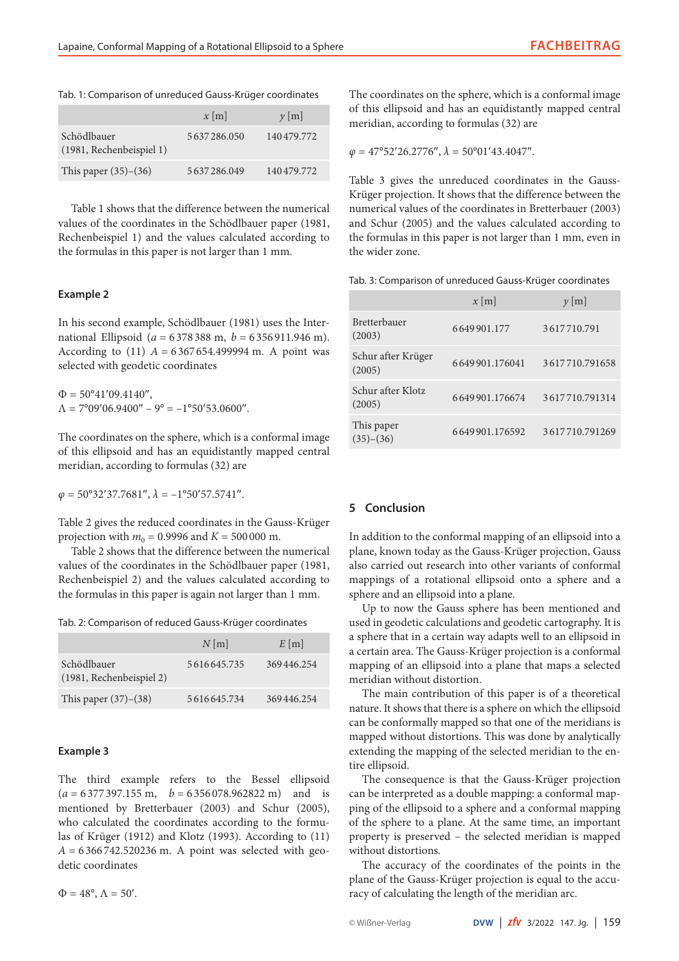|  |  |  |  |  |  |  | Tab. 1: Comparison of unreduced Gauss-Krüger coordinates |
|--|--|--|--|--|--|--|----------------------------------------------------------|
|--|--|--|--|--|--|--|----------------------------------------------------------|

|                                         | $x \mid m$  | $y$ [m]    |
|-----------------------------------------|-------------|------------|
| Schödlbauer<br>(1981, Rechenbeispiel 1) | 5637286.050 | 140479.772 |
| This paper $(35)-(36)$                  | 5637286.049 | 140479.772 |

Table 1 shows that the difference between the numerical values of the coordinates in the Schödlbauer paper (1981, Rechenbeispiel 1) and the values calculated according to the formulas in this paper is not larger than 1 mm.

## **Example 2**

In his second example, Schödlbauer (1981) uses the International Ellipsoid (*a* = 6 378 388 m, *b* = 6 356 911.946 m). According to  $(11)$   $A = 6367654.499994$  m. A point was selected with geodetic coordinates

 $\Phi = 50^{\circ}41'09.4140''$ ,  $\Lambda = 7^{\circ}09'06.9400'' - 9^{\circ} = -1^{\circ}50'53.0600''$ .

The coordinates on the sphere, which is a conformal image of this ellipsoid and has an equidistantly mapped central meridian, according to formulas (32) are

 $\varphi$  = 50°32′37.7681″,  $\lambda$  = -1°50′57.5741″.

Table 2 gives the reduced coordinates in the Gauss-Krüger projection with  $m_0 = 0.9996$  and  $K = 500000$  m.

Table 2 shows that the difference between the numerical values of the coordinates in the Schödlbauer paper (1981, Rechenbeispiel 2) and the values calculated according to the formulas in this paper is again not larger than 1 mm.

Tab. 2: Comparison of reduced Gauss-Krüger coordinates

|                                         | $N$ [m]     | $E$ [m]    |
|-----------------------------------------|-------------|------------|
| Schödlbauer<br>(1981, Rechenbeispiel 2) | 5616645.735 | 369446.254 |
| This paper $(37)–(38)$                  | 5616645.734 | 369446.254 |

#### **Example 3**

The third example refers to the Bessel ellipsoid  $(a = 6377397.155 \text{ m}, b = 6356078.962822 \text{ m})$  and is mentioned by Bretterbauer (2003) and Schur (2005), who calculated the coordinates according to the formulas of Krüger (1912) and Klotz (1993). According to (11)  $A = 6366742.520236$  m. A point was selected with geodetic coordinates

 $\Phi = 48^\circ$ ,  $\Lambda = 50'$ .

The coordinates on the sphere, which is a conformal image of this ellipsoid and has an equidistantly mapped central meridian, according to formulas (32) are

 $\varphi = 47^{\circ}52'26.2776'', \lambda = 50^{\circ}01'43.4047''.$ 

Table 3 gives the unreduced coordinates in the Gauss-Krüger projection. It shows that the difference between the numerical values of the coordinates in Bretterbauer (2003) and Schur (2005) and the values calculated according to the formulas in this paper is not larger than 1 mm, even in the wider zone.

Tab. 3: Comparison of unreduced Gauss-Krüger coordinates

|                               | $x \, \text{m}$ | $y$ [m]        |
|-------------------------------|-----------------|----------------|
| <b>Bretterbauer</b><br>(2003) | 6649901.177     | 3617710.791    |
| Schur after Krüger<br>(2005)  | 6649901.176041  | 3617710.791658 |
| Schur after Klotz<br>(2005)   | 6649901.176674  | 3617710.791314 |
| This paper<br>$(35)-(36)$     | 6649901.176592  | 3617710.791269 |

## **5 Conclusion**

In addition to the conformal mapping of an ellipsoid into a plane, known today as the Gauss-Krüger projection, Gauss also carried out research into other variants of conformal mappings of a rotational ellipsoid onto a sphere and a sphere and an ellipsoid into a plane.

Up to now the Gauss sphere has been mentioned and used in geodetic calculations and geodetic cartography. It is a sphere that in a certain way adapts well to an ellipsoid in a certain area. The Gauss-Krüger projection is a conformal mapping of an ellipsoid into a plane that maps a selected meridian without distortion.

The main contribution of this paper is of a theoretical nature. It shows that there is a sphere on which the ellipsoid can be conformally mapped so that one of the meridians is mapped without distortions. This was done by analytically extending the mapping of the selected meridian to the entire ellipsoid.

The consequence is that the Gauss-Krüger projection can be interpreted as a double mapping: a conformal mapping of the ellipsoid to a sphere and a conformal mapping of the sphere to a plane. At the same time, an important property is preserved – the selected meridian is mapped without distortions.

The accuracy of the coordinates of the points in the plane of the Gauss-Krüger projection is equal to the accuracy of calculating the length of the meridian arc.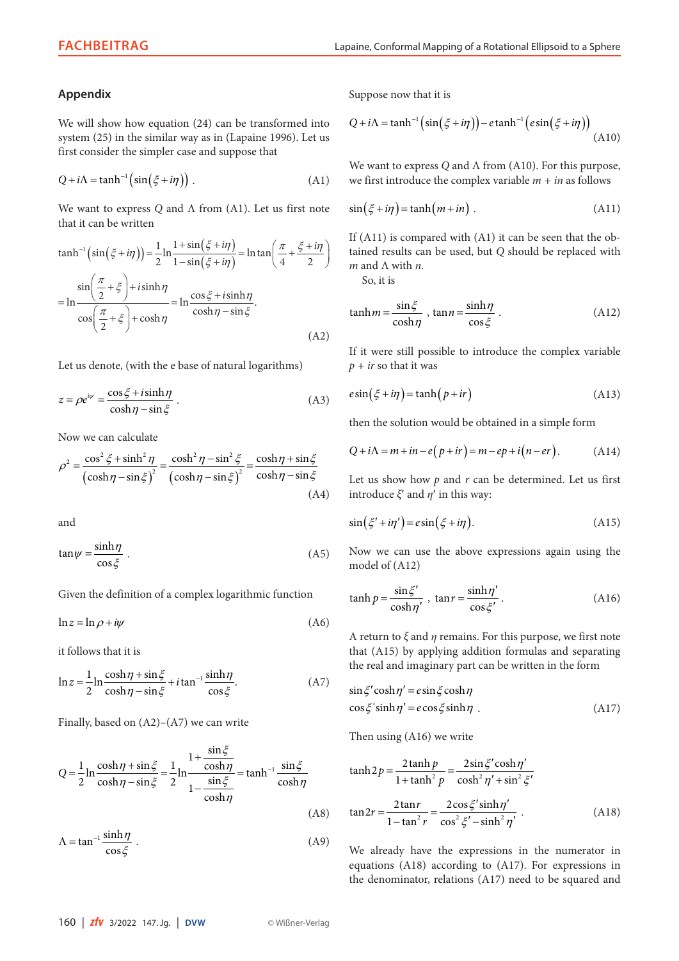## **Appendix**

We will show how equation (24) can be transformed into system (25) in the similar way as in (Lapaine 1996). Let us first consider the simpler case and suppose that

$$
Q + i\Lambda = \tanh^{-1}\left(\sin\left(\xi + i\eta\right)\right) \,. \tag{A1}
$$

We want to express *Q* and Λ from (A1). Let us first note that it can be written

$$
\tanh^{-1}\left(\sin\left(\xi + i\eta\right)\right) = \frac{1}{2}\ln\frac{1+\sin\left(\xi + i\eta\right)}{1-\sin\left(\xi + i\eta\right)} = \ln\tan\left(\frac{\pi}{4} + \frac{\xi + i\eta}{2}\right)
$$
\n
$$
= \ln\frac{\sin\left(\frac{\pi}{2} + \xi\right) + i\sinh\eta}{\cos\left(\frac{\pi}{2} + \xi\right) + \cosh\eta} = \ln\frac{\cos\xi + i\sinh\eta}{\cosh\eta - \sin\xi}.
$$
\n(A2)

Let us denote, (with the e base of natural logarithms)

$$
z = \rho e^{i\psi} = \frac{\cos \xi + i \sinh \eta}{\cosh \eta - \sin \xi} \,. \tag{A3}
$$

Now we can calculate

$$
\rho^2 = \frac{\cos^2 \xi + \sinh^2 \eta}{\left(\cosh \eta - \sin \xi\right)^2} = \frac{\cosh^2 \eta - \sin^2 \xi}{\left(\cosh \eta - \sin \xi\right)^2} = \frac{\cosh \eta + \sin \xi}{\cosh \eta - \sin \xi}
$$
\n(A4)

and

$$
\tan \psi = \frac{\sinh \eta}{\cos \xi} \ . \tag{A5}
$$

Given the definition of a complex logarithmic function

$$
\ln z = \ln \rho + i\psi \tag{A6}
$$

it follows that it is

$$
\ln z = \frac{1}{2} \ln \frac{\cosh \eta + \sin \xi}{\cosh \eta - \sin \xi} + i \tan^{-1} \frac{\sinh \eta}{\cos \xi}.
$$
 (A7)

Finally, based on  $(A2)$ – $(A7)$  we can write

$$
Q = \frac{1}{2} \ln \frac{\cosh \eta + \sin \xi}{\cosh \eta - \sin \xi} = \frac{1}{2} \ln \frac{1 + \frac{\sin \xi}{\cosh \eta}}{1 - \frac{\sin \xi}{\cosh \eta}} = \tanh^{-1} \frac{\sin \xi}{\cosh \eta}
$$
(A8)

$$
\Lambda = \tan^{-1} \frac{\sinh \eta}{\cos \xi} \tag{A9}
$$

Suppose now that it is

$$
Q + i\Lambda = \tanh^{-1}\left(\sin\left(\xi + i\eta\right)\right) - e\tanh^{-1}\left(e\sin\left(\xi + i\eta\right)\right) \tag{A10}
$$

We want to express *Q* and Λ from (A10). For this purpose, we first introduce the complex variable  $m + in$  as follows

$$
\sin(\xi + i\eta) = \tanh(m + i\eta) \tag{A11}
$$

If (A11) is compared with (A1) it can be seen that the obtained results can be used, but *Q* should be replaced with *m* and Λ with *n*.

So, it is

$$
\tanh m = \frac{\sin \xi}{\cosh \eta}, \tan n = \frac{\sinh \eta}{\cos \xi}.
$$
 (A12)

If it were still possible to introduce the complex variable  $p + ir$  so that it was

$$
e\sin\left(\xi + i\eta\right) = \tanh\left(p + ir\right) \tag{A13}
$$

then the solution would be obtained in a simple form

$$
Q + i\Lambda = m + in - e(p + ir) = m - ep + i(n - er).
$$
 (A14)

Let us show how *p* and *r* can be determined. Let us first introduce *ξ*′ and *η*′ in this way:

$$
\sin(\xi' + i\eta') = e\sin(\xi + i\eta). \tag{A15}
$$

Now we can use the above expressions again using the model of (A12)

$$
\tanh p = \frac{\sin \xi'}{\cosh \eta'}, \quad \tan r = \frac{\sinh \eta'}{\cos \xi'}.
$$
 (A16)

A return to *ξ* and *η* remains. For this purpose, we first note that (A15) by applying addition formulas and separating the real and imaginary part can be written in the form

$$
\sin \xi' \cosh \eta' = e \sin \xi \cosh \eta
$$
  
\n
$$
\cos \xi' \sinh \eta' = e \cos \xi \sinh \eta
$$
 (A17)

Then using (A16) we write

$$
\tanh 2p = \frac{2\tanh p}{1 + \tanh^2 p} = \frac{2\sin \xi' \cosh \eta'}{\cosh^2 \eta' + \sin^2 \xi'}
$$

$$
\tan 2r = \frac{2\tan r}{1 - \tan^2 r} = \frac{2\cos \xi' \sinh \eta'}{\cos^2 \xi' - \sinh^2 \eta'}.
$$
(A18)

We already have the expressions in the numerator in equations (A18) according to (A17). For expressions in the denominator, relations (A17) need to be squared and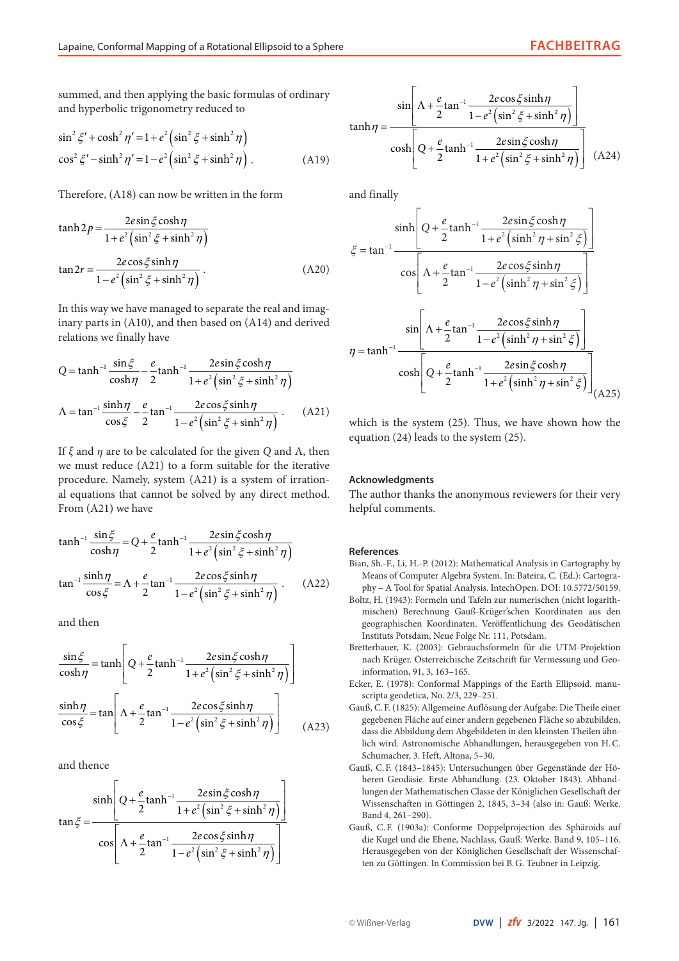summed, and then applying the basic formulas of ordinary and hyperbolic trigonometry reduced to

$$
\sin^2 \xi' + \cosh^2 \eta' = 1 + e^2 \left( \sin^2 \xi + \sinh^2 \eta \right)
$$
  
\n
$$
\cos^2 \xi' - \sinh^2 \eta' = 1 - e^2 \left( \sin^2 \xi + \sinh^2 \eta \right).
$$
 (A19)

Therefore, (A18) can now be written in the form

$$
\tanh 2p = \frac{2e\sin\xi\cosh\eta}{1 + e^2\left(\sin^2\xi + \sinh^2\eta\right)}
$$

$$
\tan 2r = \frac{2e\cos\xi\sinh\eta}{1 - e^2\left(\sin^2\xi + \sinh^2\eta\right)}.
$$
(A20)

In this way we have managed to separate the real and imaginary parts in (A10), and then based on (A14) and derived relations we finally have

$$
Q = \tanh^{-1} \frac{\sin \xi}{\cosh \eta} - \frac{e}{2} \tanh^{-1} \frac{2e \sin \xi \cosh \eta}{1 + e^2 \left(\sin^2 \xi + \sinh^2 \eta\right)}
$$
  

$$
\Lambda = \tan^{-1} \frac{\sinh \eta}{\cos \xi} - \frac{e}{2} \tan^{-1} \frac{2e \cos \xi \sinh \eta}{1 - e^2 \left(\sin^2 \xi + \sinh^2 \eta\right)}.
$$
 (A21)

If *ξ* and *η* are to be calculated for the given *Q* and Λ, then we must reduce (A21) to a form suitable for the iterative procedure. Namely, system (A21) is a system of irrational equations that cannot be solved by any direct method. From (A21) we have

$$
\tanh^{-1} \frac{\sin \xi}{\cosh \eta} = Q + \frac{e}{2} \tanh^{-1} \frac{2e \sin \xi \cosh \eta}{1 + e^2 \left(\sin^2 \xi + \sinh^2 \eta\right)}
$$

$$
\tan^{-1} \frac{\sinh \eta}{\cos \xi} = \Lambda + \frac{e}{2} \tan^{-1} \frac{2e \cos \xi \sinh \eta}{1 - e^2 \left(\sin^2 \xi + \sinh^2 \eta\right)}.
$$
(A22)

and then

$$
\frac{\sin \xi}{\cosh \eta} = \tanh \left[ Q + \frac{e}{2} \tanh^{-1} \frac{2e \sin \xi \cosh \eta}{1 + e^2 \left( \sin^2 \xi + \sinh^2 \eta \right)} \right]
$$

$$
\frac{\sinh \eta}{\cos \xi} = \tan \left[ \Lambda + \frac{e}{2} \tan^{-1} \frac{2e \cos \xi \sinh \eta}{1 - e^2 \left( \sin^2 \xi + \sinh^2 \eta \right)} \right]
$$
(A23)

and thence

$$
\tan \xi = \frac{\sinh \left[Q + \frac{e}{2}\tanh^{-1}\frac{2e\sin\xi\cosh\eta}{1 + e^2\left(\sin^2\xi + \sinh^2\eta\right)}\right]}{\cos \left[\Lambda + \frac{e}{2}\tan^{-1}\frac{2e\cos\xi\sinh\eta}{1 - e^2\left(\sin^2\xi + \sinh^2\eta\right)}\right]}
$$

$$
\tanh \eta = \frac{\sin\left[\Lambda + \frac{e}{2}\tan^{-1}\frac{2e\cos\xi\sinh\eta}{1 - e^2\left(\sin^2\xi + \sinh^2\eta\right)}\right]}{\cosh\left[Q + \frac{e}{2}\tanh^{-1}\frac{2e\sin\xi\cosh\eta}{1 + e^2\left(\sin^2\xi + \sinh^2\eta\right)}\right]}
$$
(A24)

and finally

$$
\xi = \tan^{-1} \frac{\sinh\left[Q + \frac{e}{2}\tanh^{-1}\frac{2e\sin\xi\cosh\eta}{1 + e^2\left(\sinh^2\eta + \sin^2\xi\right)}\right]}{\cos\left[\Lambda + \frac{e}{2}\tan^{-1}\frac{2e\cos\xi\sinh\eta}{1 - e^2\left(\sinh^2\eta + \sin^2\xi\right)}\right]}
$$

$$
\eta = \tanh^{-1} \frac{\sin\left[\Lambda + \frac{e}{2}\tan^{-1}\frac{2e\cos\xi\sinh\eta}{1 - e^2\left(\sinh^2\eta + \sin^2\xi\right)}\right]}{\cosh\left[Q + \frac{e}{2}\tanh^{-1}\frac{2e\sin\xi\cosh\eta}{1 + e^2\left(\sinh^2\eta + \sin^2\xi\right)}\right]}
$$
(A25)

which is the system (25). Thus, we have shown how the equation (24) leads to the system (25).

## **Acknowledgments**

The author thanks the anonymous reviewers for their very helpful comments.

#### **References**

- Bian, Sh.-F., Li, H.-P. (2012): Mathematical Analysis in Cartography by Means of Computer Algebra System. In: Bateira, C. (Ed.): Cartography – A Tool for Spatial Analysis. IntechOpen. DOI: [10.5772/50159](https://doi.org/10.5772/50159).
- Boltz, H. (1943): Formeln und Tafeln zur numerischen (nicht logarithmischen) Berechnung Gauß-Krüger'schen Koordinaten aus den geographischen Koordinaten. Veröffentlichung des Geodätischen Instituts Potsdam, Neue Folge Nr. 111, Potsdam.
- Bretterbauer, K. (2003): Gebrauchsformeln für die UTM-Projektion nach Krüger. Österreichische Zeitschrift für Vermessung und Geoinformation, 91, 3, 163–165.
- Ecker, E. (1978): Conformal Mappings of the Earth Ellipsoid. manuscripta geodetica, No. 2/3, 229–251.
- Gauß, C.F. (1825): Allgemeine Auflösung der Aufgabe: Die Theile einer gegebenen Fläche auf einer andern gegebenen Fläche so abzubilden, dass die Abbildung dem Abgebildeten in den kleinsten Theilen ähnlich wird. Astronomische Abhandlungen, herausgegeben von H.C. Schumacher, 3. Heft, Altona, 5–30.
- Gauß, C.F. (1843–1845): Untersuchungen über Gegenstände der Höheren Geodäsie. Erste Abhandlung. (23. Oktober 1843). Abhandlungen der Mathematischen Classe der Königlichen Gesellschaft der Wissenschaften in Göttingen 2, 1845, 3–34 (also in: Gauß: Werke. Band 4, 261–290).
- Gauß, C.F. (1903a): Conforme Doppelprojection des Sphäroids auf die Kugel und die Ebene, Nachlass, Gauß: Werke. Band 9, 105–116. Herausgegeben von der Königlichen Gesellschaft der Wissenschaften zu Göttingen. In Commission bei B.G. Teubner in Leipzig.